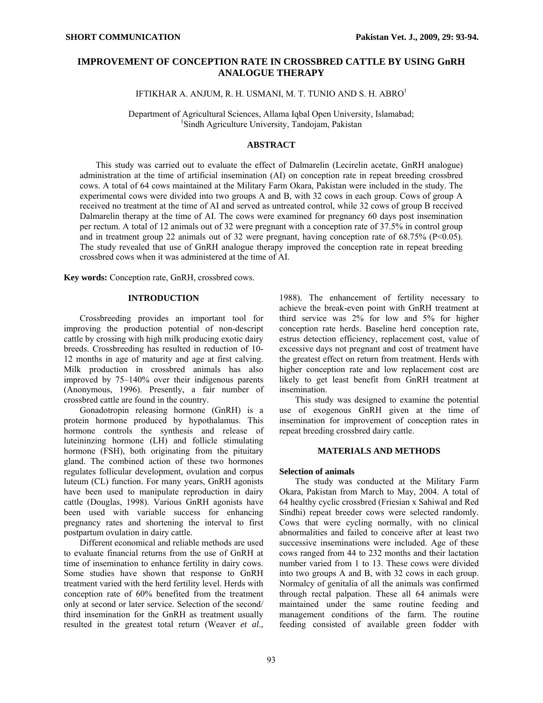# **IMPROVEMENT OF CONCEPTION RATE IN CROSSBRED CATTLE BY USING GnRH ANALOGUE THERAPY**

IFTIKHAR A. ANJUM, R. H. USMANI, M. T. TUNIO AND S. H. ABRO<sup>1</sup>

Department of Agricultural Sciences, Allama Iqbal Open University, Islamabad; 1  ${}^{1}$ Sindh Agriculture University, Tandojam, Pakistan

### **ABSTRACT**

This study was carried out to evaluate the effect of Dalmarelin (Lecirelin acetate, GnRH analogue) administration at the time of artificial insemination (AI) on conception rate in repeat breeding crossbred cows. A total of 64 cows maintained at the Military Farm Okara, Pakistan were included in the study. The experimental cows were divided into two groups A and B, with 32 cows in each group. Cows of group A received no treatment at the time of AI and served as untreated control, while 32 cows of group B received Dalmarelin therapy at the time of AI. The cows were examined for pregnancy 60 days post insemination per rectum. A total of 12 animals out of 32 were pregnant with a conception rate of 37.5% in control group and in treatment group 22 animals out of 32 were pregnant, having conception rate of 68.75% (P<0.05). The study revealed that use of GnRH analogue therapy improved the conception rate in repeat breeding crossbred cows when it was administered at the time of AI.

**Key words:** Conception rate, GnRH, crossbred cows.

### **INTRODUCTION**

Crossbreeding provides an important tool for improving the production potential of non-descript cattle by crossing with high milk producing exotic dairy breeds. Crossbreeding has resulted in reduction of 10- 12 months in age of maturity and age at first calving. Milk production in crossbred animals has also improved by 75–140% over their indigenous parents (Anonymous, 1996). Presently, a fair number of crossbred cattle are found in the country.

Gonadotropin releasing hormone (GnRH) is a protein hormone produced by hypothalamus. This hormone controls the synthesis and release of luteininzing hormone (LH) and follicle stimulating hormone (FSH), both originating from the pituitary gland. The combined action of these two hormones regulates follicular development, ovulation and corpus luteum (CL) function. For many years, GnRH agonists have been used to manipulate reproduction in dairy cattle (Douglas, 1998). Various GnRH agonists have been used with variable success for enhancing pregnancy rates and shortening the interval to first postpartum ovulation in dairy cattle.

Different economical and reliable methods are used to evaluate financial returns from the use of GnRH at time of insemination to enhance fertility in dairy cows. Some studies have shown that response to GnRH treatment varied with the herd fertility level. Herds with conception rate of 60% benefited from the treatment only at second or later service. Selection of the second/ third insemination for the GnRH as treatment usually resulted in the greatest total return (Weaver *et al*.,

1988). The enhancement of fertility necessary to achieve the break-even point with GnRH treatment at third service was 2% for low and 5% for higher conception rate herds. Baseline herd conception rate, estrus detection efficiency, replacement cost, value of excessive days not pregnant and cost of treatment have the greatest effect on return from treatment. Herds with higher conception rate and low replacement cost are likely to get least benefit from GnRH treatment at insemination.

This study was designed to examine the potential use of exogenous GnRH given at the time of insemination for improvement of conception rates in repeat breeding crossbred dairy cattle.

### **MATERIALS AND METHODS**

#### **Selection of animals**

The study was conducted at the Military Farm Okara, Pakistan from March to May, 2004. A total of 64 healthy cyclic crossbred (Friesian x Sahiwal and Red Sindhi) repeat breeder cows were selected randomly. Cows that were cycling normally, with no clinical abnormalities and failed to conceive after at least two successive inseminations were included. Age of these cows ranged from 44 to 232 months and their lactation number varied from 1 to 13. These cows were divided into two groups A and B, with 32 cows in each group. Normalcy of genitalia of all the animals was confirmed through rectal palpation. These all 64 animals were maintained under the same routine feeding and management conditions of the farm. The routine feeding consisted of available green fodder with